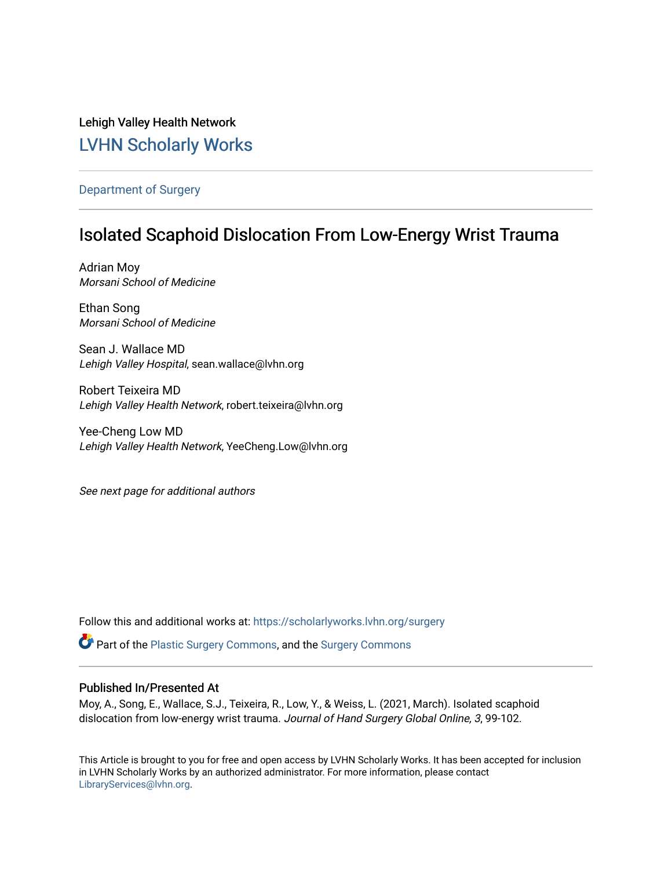## Lehigh Valley Health Network [LVHN Scholarly Works](https://scholarlyworks.lvhn.org/)

### [Department of Surgery](https://scholarlyworks.lvhn.org/surgery)

## Isolated Scaphoid Dislocation From Low-Energy Wrist Trauma

Adrian Moy Morsani School of Medicine

Ethan Song Morsani School of Medicine

Sean J. Wallace MD Lehigh Valley Hospital, sean.wallace@lvhn.org

Robert Teixeira MD Lehigh Valley Health Network, robert.teixeira@lvhn.org

Yee-Cheng Low MD Lehigh Valley Health Network, YeeCheng.Low@lvhn.org

See next page for additional authors

Follow this and additional works at: [https://scholarlyworks.lvhn.org/surgery](https://scholarlyworks.lvhn.org/surgery?utm_source=scholarlyworks.lvhn.org%2Fsurgery%2F1565&utm_medium=PDF&utm_campaign=PDFCoverPages)

Part of the [Plastic Surgery Commons](https://network.bepress.com/hgg/discipline/701?utm_source=scholarlyworks.lvhn.org%2Fsurgery%2F1565&utm_medium=PDF&utm_campaign=PDFCoverPages), and the [Surgery Commons](https://network.bepress.com/hgg/discipline/706?utm_source=scholarlyworks.lvhn.org%2Fsurgery%2F1565&utm_medium=PDF&utm_campaign=PDFCoverPages) 

### Published In/Presented At

Moy, A., Song, E., Wallace, S.J., Teixeira, R., Low, Y., & Weiss, L. (2021, March). Isolated scaphoid dislocation from low-energy wrist trauma. Journal of Hand Surgery Global Online, 3, 99-102.

This Article is brought to you for free and open access by LVHN Scholarly Works. It has been accepted for inclusion in LVHN Scholarly Works by an authorized administrator. For more information, please contact [LibraryServices@lvhn.org](mailto:LibraryServices@lvhn.org).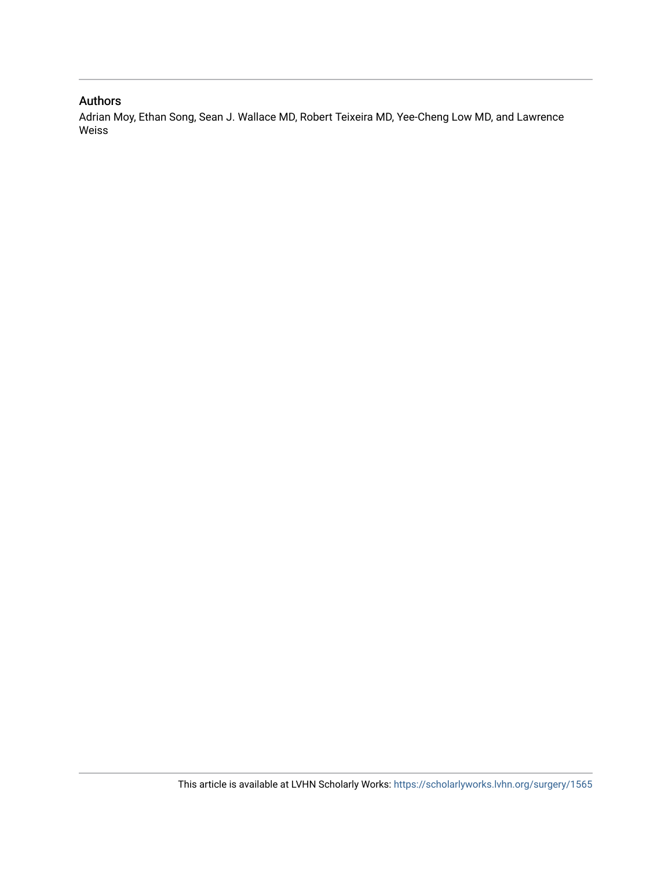## Authors

Adrian Moy, Ethan Song, Sean J. Wallace MD, Robert Teixeira MD, Yee-Cheng Low MD, and Lawrence Weiss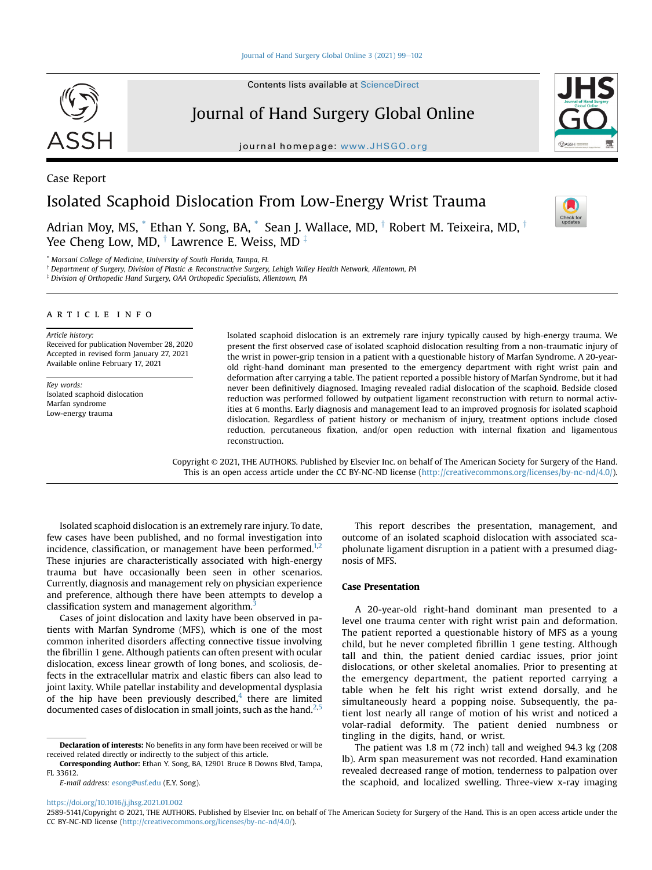## Journal of Hand Surgery Global Online

journal homepage: [www.JHSGO.org](http://www.JHSGO.org)

# Isolated Scaphoid Dislocation From Low-Energy Wrist Trauma

Adrian Moy, MS,  $*$  Ethan Y. Song, BA,  $*$  Sean J. Wallace, MD,  $\dagger$  Robert M. Teixeira, MD,  $\dagger$ Yee Cheng Low, MD,  $\dagger$  Lawrence E. Weiss, MD  $\dagger$ 

<span id="page-2-0"></span>[\\*](#page-2-1) Morsani College of Medicine, University of South Florida, Tampa, FL

<sup>†</sup> Department of Surgery, Division of Plastic & Reconstructive Surgery, Lehigh Valley Health Network, Allentown, PA

<span id="page-2-1"></span><sup>‡</sup> Division of Orthopedic Hand Surgery, OAA Orthopedic Specialists, Allentown, PA

### article info

#### Article history:

Received for publication November 28, 2020 Accepted in revised form January 27, 2021 Available online February 17, 2021

Key words: Isolated scaphoid dislocation Marfan syndrome Low-energy trauma

Isolated scaphoid dislocation is an extremely rare injury typically caused by high-energy trauma. We present the first observed case of isolated scaphoid dislocation resulting from a non-traumatic injury of the wrist in power-grip tension in a patient with a questionable history of Marfan Syndrome. A 20-yearold right-hand dominant man presented to the emergency department with right wrist pain and deformation after carrying a table. The patient reported a possible history of Marfan Syndrome, but it had never been definitively diagnosed. Imaging revealed radial dislocation of the scaphoid. Bedside closed reduction was performed followed by outpatient ligament reconstruction with return to normal activities at 6 months. Early diagnosis and management lead to an improved prognosis for isolated scaphoid dislocation. Regardless of patient history or mechanism of injury, treatment options include closed reduction, percutaneous fixation, and/or open reduction with internal fixation and ligamentous reconstruction.

Copyright © 2021, THE AUTHORS. Published by Elsevier Inc. on behalf of The American Society for Surgery of the Hand. This is an open access article under the CC BY-NC-ND license [\(http://creativecommons.org/licenses/by-nc-nd/4.0/](http://creativecommons.org/licenses/by-nc-nd/4.0/)).

Isolated scaphoid dislocation is an extremely rare injury. To date, few cases have been published, and no formal investigation into incidence, classification, or management have been performed. $1,2$  $1,2$ These injuries are characteristically associated with high-energy trauma but have occasionally been seen in other scenarios. Currently, diagnosis and management rely on physician experience and preference, although there have been attempts to develop a classification system and management algorithm. $3$ 

Cases of joint dislocation and laxity have been observed in patients with Marfan Syndrome (MFS), which is one of the most common inherited disorders affecting connective tissue involving the fibrillin 1 gene. Although patients can often present with ocular dislocation, excess linear growth of long bones, and scoliosis, defects in the extracellular matrix and elastic fibers can also lead to joint laxity. While patellar instability and developmental dysplasia of the hip have been previously described, $4$  there are limited documented cases of dislocation in small joints, such as the hand.<sup>2,[5](#page-5-4)</sup>

This report describes the presentation, management, and outcome of an isolated scaphoid dislocation with associated scapholunate ligament disruption in a patient with a presumed diagnosis of MFS.

### Case Presentation

A 20-year-old right-hand dominant man presented to a level one trauma center with right wrist pain and deformation. The patient reported a questionable history of MFS as a young child, but he never completed fibrillin 1 gene testing. Although tall and thin, the patient denied cardiac issues, prior joint dislocations, or other skeletal anomalies. Prior to presenting at the emergency department, the patient reported carrying a table when he felt his right wrist extend dorsally, and he simultaneously heard a popping noise. Subsequently, the patient lost nearly all range of motion of his wrist and noticed a volar-radial deformity. The patient denied numbness or tingling in the digits, hand, or wrist.

The patient was 1.8 m (72 inch) tall and weighed 94.3 kg (208 lb). Arm span measurement was not recorded. Hand examination revealed decreased range of motion, tenderness to palpation over the scaphoid, and localized swelling. Three-view x-ray imaging

<https://doi.org/10.1016/j.jhsg.2021.01.002>



Case Report





Declaration of interests: No benefits in any form have been received or will be received related directly or indirectly to the subject of this article.

Corresponding Author: Ethan Y. Song, BA, 12901 Bruce B Downs Blvd, Tampa, FL 33612.

E-mail address: [esong@usf.edu](mailto:esong@usf.edu) (E.Y. Song).

<sup>2589-5141/</sup>Copyright © 2021, THE AUTHORS. Published by Elsevier Inc. on behalf of The American Society for Surgery of the Hand. This is an open access article under the CC BY-NC-ND license ([http://creativecommons.org/licenses/by-nc-nd/4.0/\)](http://creativecommons.org/licenses/by-nc-nd/4.0/).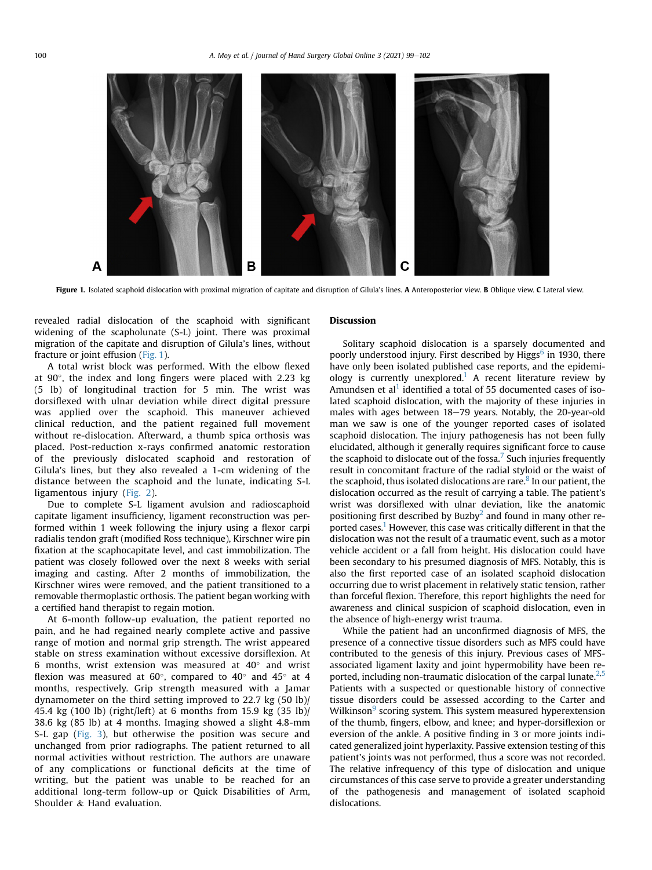<span id="page-3-0"></span>

Figure 1. Isolated scaphoid dislocation with proximal migration of capitate and disruption of Gilula's lines. A Anteroposterior view. B Oblique view. C Lateral view.

revealed radial dislocation of the scaphoid with significant widening of the scapholunate (S-L) joint. There was proximal migration of the capitate and disruption of Gilula's lines, without fracture or joint effusion ([Fig. 1](#page-3-0)).

A total wrist block was performed. With the elbow flexed at  $90^\circ$ , the index and long fingers were placed with 2.23 kg (5 lb) of longitudinal traction for 5 min. The wrist was dorsiflexed with ulnar deviation while direct digital pressure was applied over the scaphoid. This maneuver achieved clinical reduction, and the patient regained full movement without re-dislocation. Afterward, a thumb spica orthosis was placed. Post-reduction x-rays confirmed anatomic restoration of the previously dislocated scaphoid and restoration of Gilula's lines, but they also revealed a 1-cm widening of the distance between the scaphoid and the lunate, indicating S-L ligamentous injury ([Fig. 2\)](#page-4-0).

Due to complete S-L ligament avulsion and radioscaphoid capitate ligament insufficiency, ligament reconstruction was performed within 1 week following the injury using a flexor carpi radialis tendon graft (modified Ross technique), Kirschner wire pin fixation at the scaphocapitate level, and cast immobilization. The patient was closely followed over the next 8 weeks with serial imaging and casting. After 2 months of immobilization, the Kirschner wires were removed, and the patient transitioned to a removable thermoplastic orthosis. The patient began working with a certified hand therapist to regain motion.

At 6-month follow-up evaluation, the patient reported no pain, and he had regained nearly complete active and passive range of motion and normal grip strength. The wrist appeared stable on stress examination without excessive dorsiflexion. At 6 months, wrist extension was measured at  $40^{\circ}$  and wrist flexion was measured at  $60^{\circ}$ , compared to  $40^{\circ}$  and  $45^{\circ}$  at 4 months, respectively. Grip strength measured with a Jamar dynamometer on the third setting improved to 22.7 kg (50 lb)/ 45.4 kg (100 lb) (right/left) at 6 months from 15.9 kg (35 lb)/ 38.6 kg (85 lb) at 4 months. Imaging showed a slight 4.8-mm S-L gap [\(Fig. 3](#page-4-1)), but otherwise the position was secure and unchanged from prior radiographs. The patient returned to all normal activities without restriction. The authors are unaware of any complications or functional deficits at the time of writing, but the patient was unable to be reached for an additional long-term follow-up or Quick Disabilities of Arm, Shoulder & Hand evaluation.

### Discussion

Solitary scaphoid dislocation is a sparsely documented and poorly understood injury. First described by Higgs<sup>6</sup> in 1930, there have only been isolated published case reports, and the epidemi-ology is currently unexplored.<sup>[1](#page-5-0)</sup> A recent literature review by Amundsen et al<sup>[1](#page-5-0)</sup> identified a total of 55 documented cases of isolated scaphoid dislocation, with the majority of these injuries in males with ages between  $18-79$  years. Notably, the 20-year-old man we saw is one of the younger reported cases of isolated scaphoid dislocation. The injury pathogenesis has not been fully elucidated, although it generally requires significant force to cause the scaphoid to dislocate out of the fossa.<sup>[7](#page-5-6)</sup> Such injuries frequently result in concomitant fracture of the radial styloid or the waist of the scaphoid, thus isolated dislocations are rare. $8$  In our patient, the dislocation occurred as the result of carrying a table. The patient's wrist was dorsiflexed with ulnar deviation, like the anatomic positioning first described by Buzby<sup>[2](#page-5-1)</sup> and found in many other reported cases.<sup>1</sup> However, this case was critically different in that the dislocation was not the result of a traumatic event, such as a motor vehicle accident or a fall from height. His dislocation could have been secondary to his presumed diagnosis of MFS. Notably, this is also the first reported case of an isolated scaphoid dislocation occurring due to wrist placement in relatively static tension, rather than forceful flexion. Therefore, this report highlights the need for awareness and clinical suspicion of scaphoid dislocation, even in the absence of high-energy wrist trauma.

While the patient had an unconfirmed diagnosis of MFS, the presence of a connective tissue disorders such as MFS could have contributed to the genesis of this injury. Previous cases of MFSassociated ligament laxity and joint hypermobility have been reported, including non-traumatic dislocation of the carpal lunate. $2.5$  $2.5$ Patients with a suspected or questionable history of connective tissue disorders could be assessed according to the Carter and Wilkinson<sup>9</sup> scoring system. This system measured hyperextension of the thumb, fingers, elbow, and knee; and hyper-dorsiflexion or eversion of the ankle. A positive finding in 3 or more joints indicated generalized joint hyperlaxity. Passive extension testing of this patient's joints was not performed, thus a score was not recorded. The relative infrequency of this type of dislocation and unique circumstances of this case serve to provide a greater understanding of the pathogenesis and management of isolated scaphoid dislocations.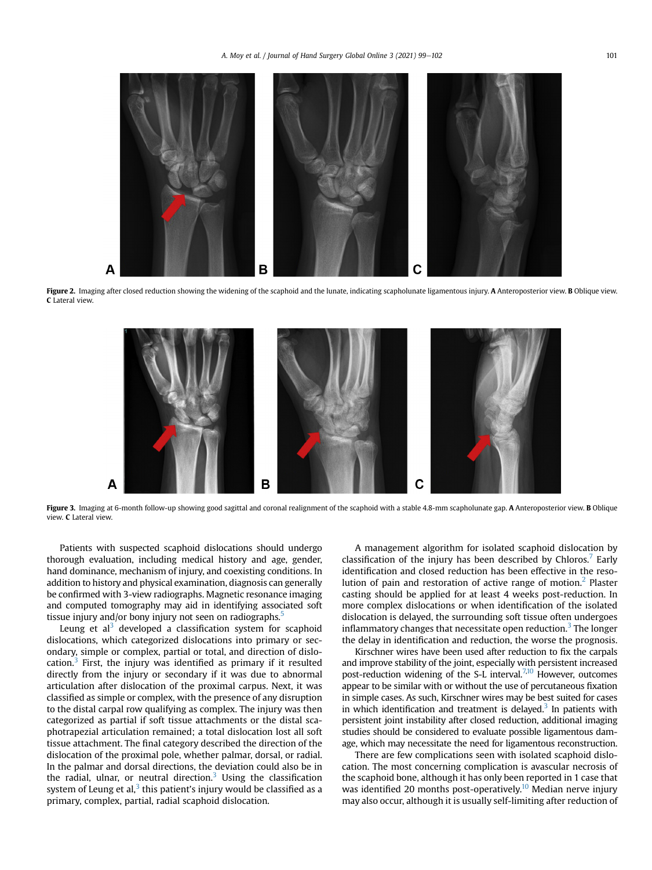<span id="page-4-0"></span>

<span id="page-4-1"></span>Figure 2. Imaging after closed reduction showing the widening of the scaphoid and the lunate, indicating scapholunate ligamentous injury. A Anteroposterior view. B Oblique view. C Lateral view.



Figure 3. Imaging at 6-month follow-up showing good sagittal and coronal realignment of the scaphoid with a stable 4.8-mm scapholunate gap. A Anteroposterior view. B Oblique view. C Lateral view.

Patients with suspected scaphoid dislocations should undergo thorough evaluation, including medical history and age, gender, hand dominance, mechanism of injury, and coexisting conditions. In addition to history and physical examination, diagnosis can generally be confirmed with 3-view radiographs. Magnetic resonance imaging and computed tomography may aid in identifying associated soft tissue injury and/or bony injury not seen on radiographs.<sup>5</sup>

Leung et  $al<sup>3</sup>$  developed a classification system for scaphoid dislocations, which categorized dislocations into primary or secondary, simple or complex, partial or total, and direction of dislocation. $3$  First, the injury was identified as primary if it resulted directly from the injury or secondary if it was due to abnormal articulation after dislocation of the proximal carpus. Next, it was classified as simple or complex, with the presence of any disruption to the distal carpal row qualifying as complex. The injury was then categorized as partial if soft tissue attachments or the distal scaphotrapezial articulation remained; a total dislocation lost all soft tissue attachment. The final category described the direction of the dislocation of the proximal pole, whether palmar, dorsal, or radial. In the palmar and dorsal directions, the deviation could also be in the radial, ulnar, or neutral direction. $3$  Using the classification system of Leung et al, $3$  this patient's injury would be classified as a primary, complex, partial, radial scaphoid dislocation.

A management algorithm for isolated scaphoid dislocation by classification of the injury has been described by Chloros.<sup>[7](#page-5-6)</sup> Early identification and closed reduction has been effective in the resolution of pain and restoration of active range of motion.[2](#page-5-1) Plaster casting should be applied for at least 4 weeks post-reduction. In more complex dislocations or when identification of the isolated dislocation is delayed, the surrounding soft tissue often undergoes inflammatory changes that necessitate open reduction.<sup>[3](#page-5-2)</sup> The longer the delay in identification and reduction, the worse the prognosis.

Kirschner wires have been used after reduction to fix the carpals and improve stability of the joint, especially with persistent increased post-reduction widening of the S-L interval.<sup>7,[10](#page-5-9)</sup> However, outcomes appear to be similar with or without the use of percutaneous fixation in simple cases. As such, Kirschner wires may be best suited for cases in which identification and treatment is delayed.<sup>[3](#page-5-2)</sup> In patients with persistent joint instability after closed reduction, additional imaging studies should be considered to evaluate possible ligamentous damage, which may necessitate the need for ligamentous reconstruction.

There are few complications seen with isolated scaphoid dislocation. The most concerning complication is avascular necrosis of the scaphoid bone, although it has only been reported in 1 case that was identified 20 months post-operatively.<sup>10</sup> Median nerve injury may also occur, although it is usually self-limiting after reduction of